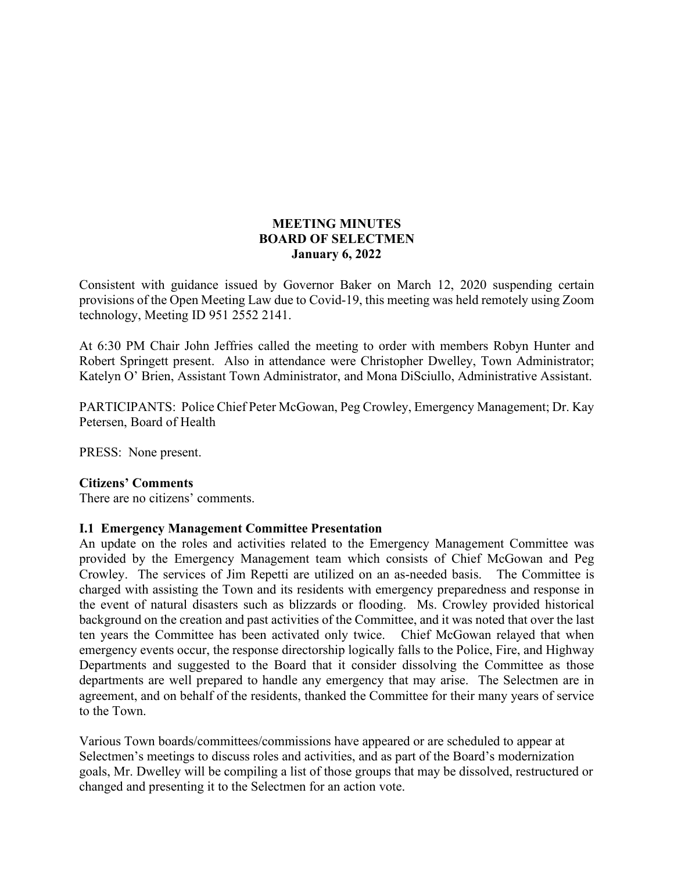#### **MEETING MINUTES BOARD OF SELECTMEN January 6, 2022**

Consistent with guidance issued by Governor Baker on March 12, 2020 suspending certain provisions of the Open Meeting Law due to Covid-19, this meeting was held remotely using Zoom technology, Meeting ID 951 2552 2141.

At 6:30 PM Chair John Jeffries called the meeting to order with members Robyn Hunter and Robert Springett present. Also in attendance were Christopher Dwelley, Town Administrator; Katelyn O' Brien, Assistant Town Administrator, and Mona DiSciullo, Administrative Assistant.

PARTICIPANTS: Police Chief Peter McGowan, Peg Crowley, Emergency Management; Dr. Kay Petersen, Board of Health

PRESS: None present.

#### **Citizens' Comments**

There are no citizens' comments.

#### **I.1 Emergency Management Committee Presentation**

An update on the roles and activities related to the Emergency Management Committee was provided by the Emergency Management team which consists of Chief McGowan and Peg Crowley. The services of Jim Repetti are utilized on an as-needed basis. The Committee is charged with assisting the Town and its residents with emergency preparedness and response in the event of natural disasters such as blizzards or flooding. Ms. Crowley provided historical background on the creation and past activities of the Committee, and it was noted that over the last ten years the Committee has been activated only twice. Chief McGowan relayed that when emergency events occur, the response directorship logically falls to the Police, Fire, and Highway Departments and suggested to the Board that it consider dissolving the Committee as those departments are well prepared to handle any emergency that may arise. The Selectmen are in agreement, and on behalf of the residents, thanked the Committee for their many years of service to the Town.

Various Town boards/committees/commissions have appeared or are scheduled to appear at Selectmen's meetings to discuss roles and activities, and as part of the Board's modernization goals, Mr. Dwelley will be compiling a list of those groups that may be dissolved, restructured or changed and presenting it to the Selectmen for an action vote.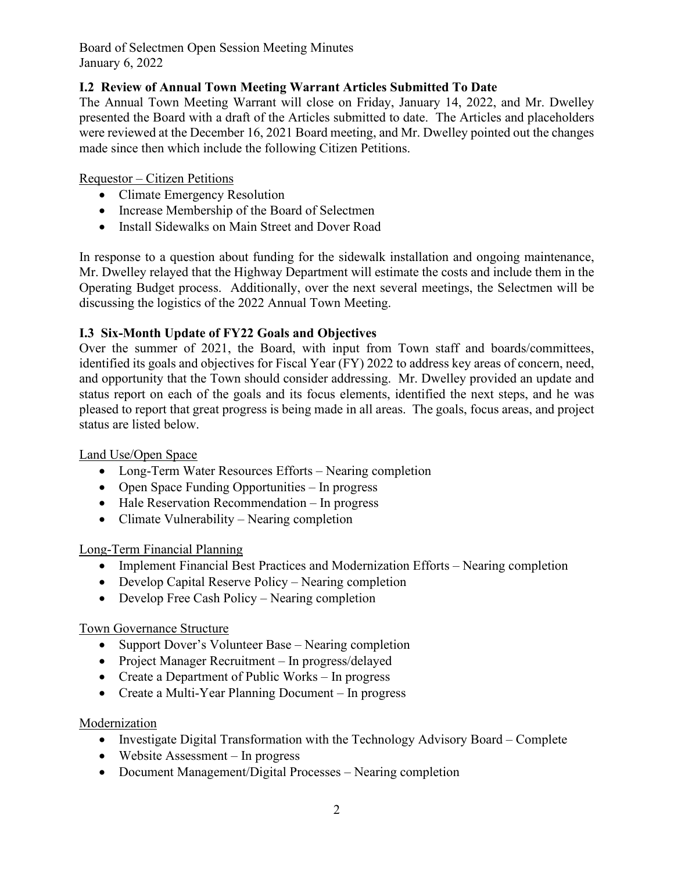Board of Selectmen Open Session Meeting Minutes January 6, 2022

## **I.2 Review of Annual Town Meeting Warrant Articles Submitted To Date**

The Annual Town Meeting Warrant will close on Friday, January 14, 2022, and Mr. Dwelley presented the Board with a draft of the Articles submitted to date. The Articles and placeholders were reviewed at the December 16, 2021 Board meeting, and Mr. Dwelley pointed out the changes made since then which include the following Citizen Petitions.

## Requestor – Citizen Petitions

- Climate Emergency Resolution
- Increase Membership of the Board of Selectmen
- Install Sidewalks on Main Street and Dover Road

In response to a question about funding for the sidewalk installation and ongoing maintenance, Mr. Dwelley relayed that the Highway Department will estimate the costs and include them in the Operating Budget process. Additionally, over the next several meetings, the Selectmen will be discussing the logistics of the 2022 Annual Town Meeting.

## **I.3 Six-Month Update of FY22 Goals and Objectives**

Over the summer of 2021, the Board, with input from Town staff and boards/committees, identified its goals and objectives for Fiscal Year (FY) 2022 to address key areas of concern, need, and opportunity that the Town should consider addressing. Mr. Dwelley provided an update and status report on each of the goals and its focus elements, identified the next steps, and he was pleased to report that great progress is being made in all areas. The goals, focus areas, and project status are listed below.

Land Use/Open Space

- Long-Term Water Resources Efforts Nearing completion
- Open Space Funding Opportunities In progress
- Hale Reservation Recommendation In progress
- Climate Vulnerability Nearing completion

Long-Term Financial Planning

- Implement Financial Best Practices and Modernization Efforts Nearing completion
- Develop Capital Reserve Policy Nearing completion
- Develop Free Cash Policy Nearing completion

#### Town Governance Structure

- Support Dover's Volunteer Base Nearing completion
- Project Manager Recruitment In progress/delayed
- Create a Department of Public Works In progress
- Create a Multi-Year Planning Document In progress

#### Modernization

- Investigate Digital Transformation with the Technology Advisory Board Complete
- Website Assessment In progress
- Document Management/Digital Processes Nearing completion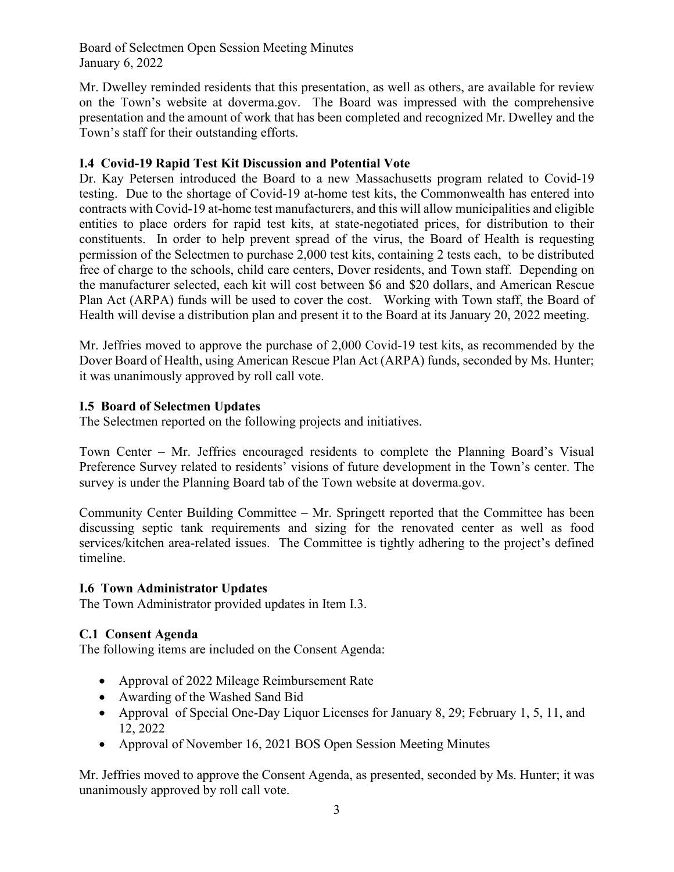Board of Selectmen Open Session Meeting Minutes January 6, 2022

Mr. Dwelley reminded residents that this presentation, as well as others, are available for review on the Town's website at doverma.gov. The Board was impressed with the comprehensive presentation and the amount of work that has been completed and recognized Mr. Dwelley and the Town's staff for their outstanding efforts.

## **I.4 Covid-19 Rapid Test Kit Discussion and Potential Vote**

Dr. Kay Petersen introduced the Board to a new Massachusetts program related to Covid-19 testing. Due to the shortage of Covid-19 at-home test kits, the Commonwealth has entered into contracts with Covid-19 at-home test manufacturers, and this will allow municipalities and eligible entities to place orders for rapid test kits, at state-negotiated prices, for distribution to their constituents. In order to help prevent spread of the virus, the Board of Health is requesting permission of the Selectmen to purchase 2,000 test kits, containing 2 tests each, to be distributed free of charge to the schools, child care centers, Dover residents, and Town staff. Depending on the manufacturer selected, each kit will cost between \$6 and \$20 dollars, and American Rescue Plan Act (ARPA) funds will be used to cover the cost. Working with Town staff, the Board of Health will devise a distribution plan and present it to the Board at its January 20, 2022 meeting.

Mr. Jeffries moved to approve the purchase of 2,000 Covid-19 test kits, as recommended by the Dover Board of Health, using American Rescue Plan Act (ARPA) funds, seconded by Ms. Hunter; it was unanimously approved by roll call vote.

#### **I.5 Board of Selectmen Updates**

The Selectmen reported on the following projects and initiatives.

Town Center – Mr. Jeffries encouraged residents to complete the Planning Board's Visual Preference Survey related to residents' visions of future development in the Town's center. The survey is under the Planning Board tab of the Town website at doverma.gov.

Community Center Building Committee – Mr. Springett reported that the Committee has been discussing septic tank requirements and sizing for the renovated center as well as food services/kitchen area-related issues. The Committee is tightly adhering to the project's defined timeline.

#### **I.6 Town Administrator Updates**

The Town Administrator provided updates in Item I.3.

# **C.1 Consent Agenda**

The following items are included on the Consent Agenda:

- Approval of 2022 Mileage Reimbursement Rate
- Awarding of the Washed Sand Bid
- Approval of Special One-Day Liquor Licenses for January 8, 29; February 1, 5, 11, and 12, 2022
- Approval of November 16, 2021 BOS Open Session Meeting Minutes

Mr. Jeffries moved to approve the Consent Agenda, as presented, seconded by Ms. Hunter; it was unanimously approved by roll call vote.